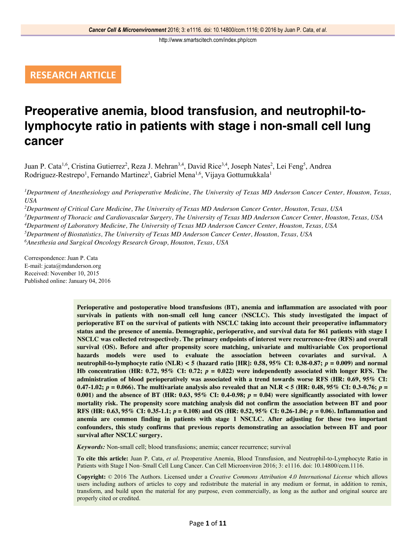# **RESEARCH ARTICLE**

# **Preoperative anemia, blood transfusion, and neutrophil-tolymphocyte ratio in patients with stage i non-small cell lung cancer**

Juan P. Cata<sup>1,6</sup>, Cristina Gutierrez<sup>2</sup>, Reza J. Mehran<sup>3,4</sup>, David Rice<sup>3,4</sup>, Joseph Nates<sup>2</sup>, Lei Feng<sup>5</sup>, Andrea Rodriguez-Restrepo<sup>1</sup>, Fernando Martinez<sup>3</sup>, Gabriel Mena<sup>1,6</sup>, Vijaya Gottumukkala<sup>1</sup>

*1 Department of Anesthesiology and Perioperative Medicine, The University of Texas MD Anderson Cancer Center, Houston, Texas, USA*

 *Department of Critical Care Medicine, The University of Texas MD Anderson Cancer Center, Houston, Texas, USA Department of Thoracic and Cardiovascular Surgery, The University of Texas MD Anderson Cancer Center, Houston, Texas, USA Department of Laboratory Medicine, The University of Texas MD Anderson Cancer Center, Houston, Texas, USA Department of Biostatistics, The University of Texas MD Anderson Cancer Center, Houston, Texas, USA Anesthesia and Surgical Oncology Research Group, Houston, Texas, USA*

Correspondence: Juan P. Cata E-mail: jcata@mdanderson.org Received: November 10, 2015 Published online: January 04, 2016

> **Perioperative and postoperative blood transfusions (BT), anemia and inflammation are associated with poor survivals in patients with non-small cell lung cancer (NSCLC). This study investigated the impact of perioperative BT on the survival of patients with NSCLC taking into account their preoperative inflammatory status and the presence of anemia. Demographic, perioperative, and survival data for 861 patients with stage I NSCLC was collected retrospectively. The primary endpoints of interest were recurrence-free (RFS) and overall survival (OS). Before and after propensity score matching, univariate and multivariable Cox proportional hazards models were used to evaluate the association between covariates and survival. A neutrophil-to-lymphocyte ratio (NLR) < 5 (hazard ratio [HR]: 0.58, 95% CI: 0.38-0.87;** *p* **= 0.009) and normal Hb concentration (HR: 0.72, 95% CI: 0.72;**  $p = 0.022$ **) were independently associated with longer RFS. The administration of blood perioperatively was associated with a trend towards worse RFS (HR: 0.69, 95% CI: 0.47-1.02;**  $p = 0.066$ . The multivariate analysis also revealed that an NLR < 5 (HR: 0.48, 95% CI: 0.3-0.76;  $p =$ **0.001)** and the absence of BT (HR: 0.63, 95% CI: 0.4-0.98;  $p = 0.04$ ) were significantly associated with lower **mortality risk. The propensity score matching analysis did not confirm the association between BT and poor RFS (HR: 0.63, 95% CI: 0.35-1.1;** *p* **= 0.108) and OS (HR: 0.52, 95% CI: 0.26-1.04;** *p* **= 0.06). Inflammation and anemia are common finding in patients with stage 1 NSCLC. After adjusting for these two important confounders, this study confirms that previous reports demonstrating an association between BT and poor survival after NSCLC surgery.**

*Keywords:* Non-small cell; blood transfusions; anemia; cancer recurrence; survival

**To cite this article:** Juan P. Cata, *et al*. Preoperative Anemia, Blood Transfusion, and Neutrophil-to-Lymphocyte Ratio in Patients with Stage I Non-Small Cell Lung Cancer. Can Cell Microenviron 2016; 3: e1116. doi: 10.14800/ccm.1116.

**Copyright:** © 2016 The Authors. Licensed under a *Creative Commons Attribution 4.0 International License* which allows users including authors of articles to copy and redistribute the material in any medium or format, in addition to remix, transform, and build upon the material for any purpose, even commercially, as long as the author and original source are properly cited or credited.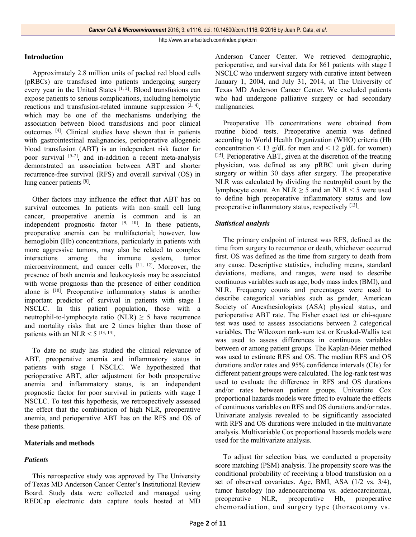# **Introduction**

Approximately 2.8 million units of packed red blood cells (pRBCs) are transfused into patients undergoing surgery every year in the United States [1, 2]. Blood transfusions can expose patients to serious complications, including hemolytic reactions and transfusion-related immune suppression  $[3, 4]$ , which may be one of the mechanisms underlying the association between blood transfusions and poor clinical outcomes [4]. Clinical studies have shown that in patients with gastrointestinal malignancies, perioperative allogeneic blood transfusion (ABT) is an independent risk factor for poor survival  $[5-7]$ , and in-addition a recent meta-analysis demonstrated an association between ABT and shorter recurrence-free survival (RFS) and overall survival (OS) in lung cancer patients [8].

Other factors may influence the effect that ABT has on survival outcomes. In patients with non–small cell lung cancer, preoperative anemia is common and is an independent prognostic factor  $[9, 10]$ . In these patients, preoperative anemia can be multifactorial; however, low hemoglobin (Hb) concentrations, particularly in patients with more aggressive tumors, may also be related to complex interactions among the immune system, tumor microenvironment, and cancer cells [11, 12]. Moreover, the presence of both anemia and leukocytosis may be associated with worse prognosis than the presence of either condition alone is [10]. Preoperative inflammatory status is another important predictor of survival in patients with stage I NSCLC. In this patient population, those with a neutrophil-to-lymphocyte ratio (NLR)  $\geq$  5 have recurrence and mortality risks that are 2 times higher than those of patients with an NLR  $<$  5 [13, 14].

To date no study has studied the clinical relevance of ABT, preoperative anemia and inflammatory status in patients with stage I NSCLC. We hypothesized that perioperative ABT, after adjustment for both preoperative anemia and inflammatory status, is an independent prognostic factor for poor survival in patients with stage I NSCLC. To test this hypothesis, we retrospectively assessed the effect that the combination of high NLR, preoperative anemia, and perioperative ABT has on the RFS and OS of these patients.

# **Materials and methods**

# *Patients*

This retrospective study was approved by The University of Texas MD Anderson Cancer Center's Institutional Review Board. Study data were collected and managed using REDCap electronic data capture tools hosted at MD

Anderson Cancer Center. We retrieved demographic, perioperative, and survival data for 861 patients with stage I NSCLC who underwent surgery with curative intent between January 1, 2004, and July 31, 2014, at The University of Texas MD Anderson Cancer Center. We excluded patients who had undergone palliative surgery or had secondary malignancies.

Preoperative Hb concentrations were obtained from routine blood tests. Preoperative anemia was defined according to World Health Organization (WHO) criteria (Hb concentration  $\leq 13$  g/dL for men and  $\leq 12$  g/dL for women) [15]. Perioperative ABT, given at the discretion of the treating physician, was defined as any pRBC unit given during surgery or within 30 days after surgery. The preoperative NLR was calculated by dividing the neutrophil count by the lymphocyte count. An NLR  $\geq$  5 and an NLR < 5 were used to define high preoperative inflammatory status and low preoperative inflammatory status, respectively [13].

# *Statistical analysis*

The primary endpoint of interest was RFS, defined as the time from surgery to recurrence or death, whichever occurred first. OS was defined as the time from surgery to death from any cause. Descriptive statistics, including means, standard deviations, medians, and ranges, were used to describe continuous variables such as age, body mass index (BMI), and NLR. Frequency counts and percentages were used to describe categorical variables such as gender, American Society of Anesthesiologists (ASA) physical status, and perioperative ABT rate. The Fisher exact test or chi-square test was used to assess associations between 2 categorical variables. The Wilcoxon rank-sum test or Kruskal-Wallis test was used to assess differences in continuous variables between or among patient groups. The Kaplan-Meier method was used to estimate RFS and OS. The median RFS and OS. durations and/or rates and 95% confidence intervals (CIs) for different patient groups were calculated. The log-rank test was used to evaluate the difference in RFS and OS durations and/or rates between patient groups. Univariate Cox proportional hazards models were fitted to evaluate the effects of continuous variables on RFS and OS durations and/or rates. Univariate analysis revealed to be significantly associated with RFS and OS durations were included in the multivariate analysis. Multivariable Cox proportional hazards models were used for the multivariate analysis.

To adjust for selection bias, we conducted a propensity score matching (PSM) analysis. The propensity score was the conditional probability of receiving a blood transfusion on a set of observed covariates. Age, BMI, ASA (1/2 vs. 3/4), tumor histology (no adenocarcinoma vs. adenocarcinoma), preoperative NLR, preoperative Hb, preoperative chemoradiation, and surgery type (thoracotomy vs.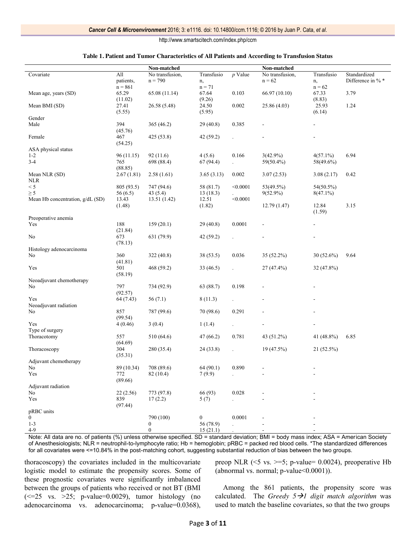#### **Table 1. Patient and Tumor Characteristics of All Patients and According to Transfusion Status**

|                                  |                  | Non-matched     |                  |           | Non-matched     |                 |                   |  |  |
|----------------------------------|------------------|-----------------|------------------|-----------|-----------------|-----------------|-------------------|--|--|
| Covariate                        | All              | No transfusion, | Transfusio       | $p$ Value | No transfusion, | Transfusio      | Standardized      |  |  |
|                                  | patients,        | $n = 790$       | n,               |           | $n = 62$        | n,              | Difference in % * |  |  |
|                                  | $n = 861$        |                 | $n = 71$         |           |                 | $n = 62$        |                   |  |  |
| Mean age, years (SD)             | 65.29<br>(11.02) | 65.08 (11.14)   | 67.64<br>(9.26)  | 0.103     | 66.97 (10.10)   | 67.33<br>(8.83) | 3.79              |  |  |
| Mean BMI (SD)                    | 27.41            | 26.58 (5.48)    | 24.50            | 0.002     | 25.86 (4.03)    | 25.93           | 1.24              |  |  |
|                                  | (5.55)           |                 | (5.95)           |           |                 | (6.14)          |                   |  |  |
| Gender                           |                  |                 |                  |           |                 |                 |                   |  |  |
| Male                             | 394              | 365(46.2)       | 29(40.8)         | 0.385     |                 |                 |                   |  |  |
|                                  | (45.76)          |                 |                  |           |                 |                 |                   |  |  |
| Female                           | 467              | 425 (53.8)      | 42 (59.2)        |           |                 |                 |                   |  |  |
|                                  | (54.25)          |                 |                  |           |                 |                 |                   |  |  |
| ASA physical status              |                  |                 |                  |           |                 |                 |                   |  |  |
| $1 - 2$                          | 96 (11.15)       | 92 (11.6)       | 4(5.6)           | 0.166     | $3(42.9\%)$     | $4(57.1\%)$     | 6.94              |  |  |
| $3-4$                            | 765              | 698 (88.4)      | 67(94.4)         |           | 59(50.4%)       | 58(49.6%)       |                   |  |  |
|                                  | (88.85)          |                 |                  |           |                 |                 |                   |  |  |
| Mean NLR (SD)                    | 2.67(1.81)       | 2.58(1.61)      | 3.65(3.13)       | 0.002     | 3.07(2.53)      | 3.08(2.17)      | 0.42              |  |  |
| <b>NLR</b>                       |                  |                 |                  |           |                 |                 |                   |  |  |
| < 5                              | 805 (93.5)       | 747 (94.6)      | 58 (81.7)        | < 0.0001  | 53(49.5%)       | 54(50.5%)       |                   |  |  |
| $\geq 5$                         | 56(6.5)          | 43(5.4)         | 13(18.3)         |           | $9(52.9\%)$     | $8(47.1\%)$     |                   |  |  |
| Mean Hb concentration, g/dL (SD) | 13.43            | 13.51 (1.42)    | 12.51            | < 0.0001  |                 |                 |                   |  |  |
|                                  | (1.48)           |                 | (1.82)           |           | 12.79(1.47)     | 12.84           | 3.15              |  |  |
|                                  |                  |                 |                  |           |                 | (1.59)          |                   |  |  |
| Preoperative anemia              |                  |                 |                  |           |                 |                 |                   |  |  |
| Yes                              | 188              | 159(20.1)       | 29(40.8)         | 0.0001    |                 |                 |                   |  |  |
|                                  | (21.84)          |                 |                  |           |                 |                 |                   |  |  |
| No                               | 673              | 631 (79.9)      | 42 (59.2)        |           |                 |                 |                   |  |  |
|                                  | (78.13)          |                 |                  |           |                 |                 |                   |  |  |
| Histology adenocarcinoma         |                  |                 |                  |           |                 |                 |                   |  |  |
| No                               | 360              | 322 (40.8)      | 38(53.5)         | 0.036     | $35(52.2\%)$    | $30(52.6\%)$    | 9.64              |  |  |
|                                  | (41.81)          |                 |                  |           |                 |                 |                   |  |  |
| Yes                              | 501              | 468 (59.2)      | 33(46.5)         |           | 27 (47.4%)      | $32(47.8\%)$    |                   |  |  |
|                                  | (58.19)          |                 |                  |           |                 |                 |                   |  |  |
| Neoadjuvant chemotherapy         |                  |                 |                  |           |                 |                 |                   |  |  |
| No                               | 797              | 734 (92.9)      | 63 (88.7)        | 0.198     |                 |                 |                   |  |  |
|                                  | (92.57)          |                 |                  |           |                 |                 |                   |  |  |
| Yes                              | 64 (7.43)        | 56(7.1)         | 8(11.3)          |           |                 |                 |                   |  |  |
| Neoadjuvant radiation            |                  |                 |                  |           |                 |                 |                   |  |  |
| No                               | 857              | 787 (99.6)      | 70 (98.6)        | 0.291     |                 |                 |                   |  |  |
|                                  | (99.54)          |                 |                  |           |                 |                 |                   |  |  |
| Yes                              | 4(0.46)          | 3(0.4)          | 1(1.4)           |           |                 |                 |                   |  |  |
| Type of surgery                  |                  |                 |                  |           |                 |                 |                   |  |  |
| Thoracotomy                      | 557              | 510 (64.6)      | 47 (66.2)        | 0.781     | 43 (51.2%)      | 41 (48.8%)      | 6.85              |  |  |
|                                  | (64.69)          |                 |                  |           |                 |                 |                   |  |  |
| Thoracoscopy                     | 304              | 280 (35.4)      | 24(33.8)         |           | 19(47.5%)       | $21(52.5\%)$    |                   |  |  |
|                                  | (35.31)          |                 |                  |           |                 |                 |                   |  |  |
| Adjuvant chemotherapy            |                  |                 |                  |           |                 |                 |                   |  |  |
| No                               | 89 (10.34)       | 708 (89.6)      | 64 (90.1)        | 0.890     |                 |                 |                   |  |  |
| Yes                              | 772              | 82(10.4)        | 7(9.9)           |           |                 |                 |                   |  |  |
| Adjuvant radiation               | (89.66)          |                 |                  |           |                 |                 |                   |  |  |
|                                  |                  |                 |                  |           |                 |                 |                   |  |  |
| No                               | 22(2.56)         | 773 (97.8)      | 66 (93)          | 0.028     |                 |                 |                   |  |  |
| Yes                              | 839              | 17(2.2)         | 5(7)             |           |                 |                 |                   |  |  |
| pRBC units                       | (97.44)          |                 |                  |           |                 |                 |                   |  |  |
| $\overline{0}$                   |                  | 790 (100)       | $\boldsymbol{0}$ | 0.0001    |                 |                 |                   |  |  |
| $1 - 3$                          |                  | 0               | 56 (78.9)        |           |                 |                 |                   |  |  |
| $4-9$                            |                  | $\overline{0}$  | 15(21.1)         |           |                 |                 |                   |  |  |
|                                  |                  |                 |                  |           |                 |                 |                   |  |  |

Note: All data are no. of patients (%) unless otherwise specified. SD = standard deviation; BMI = body mass index; ASA = American Society of Anesthesiologists; NLR = neutrophil-to-lymphocyte ratio; Hb = hemoglobin; pRBC = packed red blood cells. \*The standardized differences for all covariates were <=10.84% in the post-matching cohort, suggesting substantial reduction of bias between the two groups.

thoracoscopy) the covariates included in the multicovariate logistic model to estimate the propensity scores. Some of these prognostic covariates were significantly imbalanced between the groups of patients who received or not BT (BMI  $\approx$  =25 vs. >25; p-value=0.0029), tumor histology (no adenocarcinoma vs. adenocarcinoma; p-value=0.0368),

preop NLR ( $\leq$ 5 vs.  $\geq$ =5; p-value= 0.0024), preoperative Hb (abnormal vs. normal;  $p$ -value  $0.0001$ )).

Among the 861 patients, the propensity score was calculated. The *Greedy* 5→1 digit match algorithm was used to match the baseline covariates, so that the two groups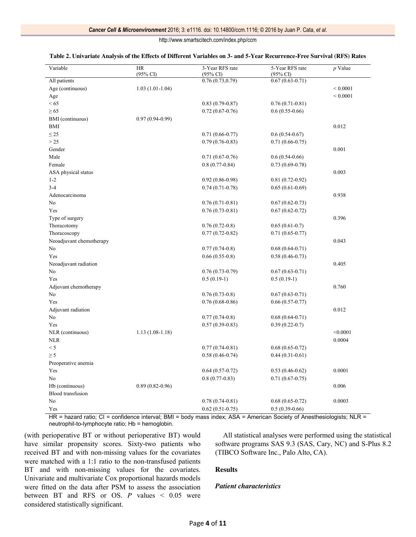| Variable                 | <b>HR</b><br>$(95\% \text{ CI})$ | 3-Year RFS rate<br>$(95\% \text{ CI})$ | 5-Year RFS rate<br>$(95\% \text{ CI})$ | $p$ Value     |
|--------------------------|----------------------------------|----------------------------------------|----------------------------------------|---------------|
| All patients             |                                  | 0.76(0.73, 0.79)                       | $0.67(0.63-0.71)$                      |               |
| Age (continuous)         | $1.03(1.01-1.04)$                |                                        |                                        | ${}< 0.0001$  |
| Age                      |                                  |                                        |                                        | ${}_{0.0001}$ |
| < 65                     |                                  | $0.83(0.79-0.87)$                      | $0.76(0.71-0.81)$                      |               |
| $\geq 65$                |                                  | $0.72(0.67-0.76)$                      | $0.6(0.55-0.66)$                       |               |
| BMI (continuous)         | $0.97(0.94-0.99)$                |                                        |                                        |               |
| <b>BMI</b>               |                                  |                                        |                                        | 0.012         |
| $\leq$ 25                |                                  | $0.71(0.66-0.77)$                      | $0.6(0.54-0.67)$                       |               |
| >25                      |                                  | $0.79(0.76-0.83)$                      | $0.71(0.66-0.75)$                      |               |
| Gender                   |                                  |                                        |                                        | 0.001         |
| Male                     |                                  | $0.71(0.67-0.76)$                      | $0.6(0.54-0.66)$                       |               |
| Female                   |                                  | $0.8(0.77-0.84)$                       | $0.73(0.69-0.78)$                      |               |
| ASA physical status      |                                  |                                        |                                        | 0.003         |
| $1 - 2$                  |                                  | $0.92(0.86-0.98)$                      | $0.81(0.72-0.92)$                      |               |
| $3-4$                    |                                  | $0.74(0.71-0.78)$                      | $0.65(0.61-0.69)$                      |               |
| Adenocarcinoma           |                                  |                                        |                                        | 0.938         |
| No                       |                                  | $0.76(0.71-0.81)$                      | $0.67(0.62-0.73)$                      |               |
| Yes                      |                                  | $0.76(0.73-0.81)$                      | $0.67(0.62-0.72)$                      |               |
| Type of surgery          |                                  |                                        |                                        | 0.396         |
| Thoracotomy              |                                  | $0.76(0.72-0.8)$                       | $0.65(0.61-0.7)$                       |               |
| Thoracoscopy             |                                  | $0.77(0.72-0.82)$                      | $0.71(0.65-0.77)$                      |               |
| Neoadjuvant chemotherapy |                                  |                                        |                                        | 0.043         |
| No                       |                                  | $0.77(0.74-0.8)$                       | $0.68(0.64-0.71)$                      |               |
| Yes                      |                                  | $0.66(0.55-0.8)$                       | $0.58(0.46 - 0.73)$                    |               |
| Neoadjuvant radiation    |                                  |                                        |                                        | 0.405         |
| No                       |                                  | $0.76(0.73-0.79)$                      | $0.67(0.63 - 0.71)$                    |               |
| Yes                      |                                  | $0.5(0.19-1)$                          | $0.5(0.19-1)$                          |               |
| Adjuvant chemotherapy    |                                  |                                        |                                        | 0.760         |
| No                       |                                  | $0.76(0.73-0.8)$                       | $0.67(0.63-0.71)$                      |               |
| Yes                      |                                  | $0.76(0.68-0.86)$                      | $0.66(0.57-0.77)$                      |               |
| Adjuvant radiation       |                                  |                                        |                                        | 0.012         |
| No                       |                                  | $0.77(0.74-0.8)$                       | $0.68(0.64-0.71)$                      |               |
| Yes                      |                                  | $0.57(0.39-0.83)$                      | $0.39(0.22-0.7)$                       |               |
| NLR (continuous)         | $1.13(1.08-1.18)$                |                                        |                                        | < 0.0001      |
| <b>NLR</b>               |                                  |                                        |                                        | $0.0004\,$    |
| < 5                      |                                  | $0.77(0.74-0.81)$                      | $0.68(0.65-0.72)$                      |               |
| $\geq$ 5                 |                                  | $0.58(0.46 - 0.74)$                    | $0.44(0.31-0.61)$                      |               |
| Preoperative anemia      |                                  |                                        |                                        |               |
| Yes                      |                                  | $0.64(0.57-0.72)$                      | $0.53(0.46-0.62)$                      | 0.0001        |
| N <sub>0</sub>           |                                  | $0.8(0.77-0.83)$                       | $0.71(0.67-0.75)$                      |               |
| Hb (continuous)          | $0.89(0.82 - 0.96)$              |                                        |                                        | 0.006         |
| <b>Blood</b> transfusion |                                  |                                        |                                        |               |
| No                       |                                  | $0.78(0.74-0.81)$                      | $0.68(0.65-0.72)$                      | 0.0003        |
| Yes                      |                                  | $0.62(0.51-0.75)$                      | $0.5(0.39-0.66)$                       |               |
|                          |                                  |                                        |                                        |               |

# **Table 2. Univariate Analysis of the Effects of Different Variables on 3- and 5-Year Recurrence-Free Survival (RFS) Rates**

HR = hazard ratio; CI = confidence interval; BMI = body mass index; ASA = American Society of Anesthesiologists; NLR = neutrophil-to-lymphocyte ratio; Hb = hemoglobin.

(with perioperative BT or without perioperative BT) would have similar propensity scores. Sixty-two patients who received BT and with non-missing values for the covariates were matched with a 1:1 ratio to the non-transfused patients BT and with non-missing values for the covariates. Univariate and multivariate Cox proportional hazards models were fitted on the data after PSM to assess the association between BT and RFS or OS. *P* values < 0.05 were considered statistically significant.

All statistical analyses were performed using the statistical software programs SAS 9.3 (SAS, Cary, NC) and S-Plus 8.2 (TIBCO Software Inc., Palo Alto, CA).

# **Results**

# *Patient characteristics*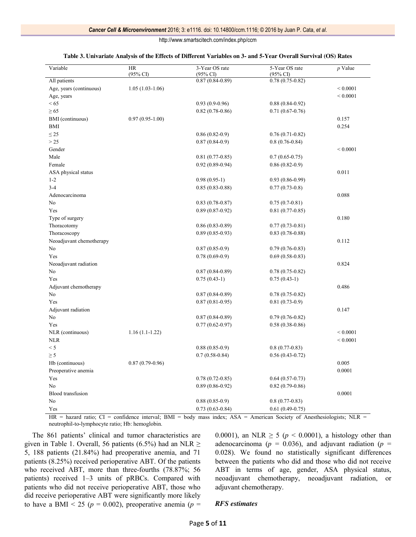| Variable                 | <b>HR</b><br>$(95\% \text{ CI})$ | 3-Year OS rate<br>(95% CI) | 5-Year OS rate<br>$(95\% \text{ CI})$ | $p$ Value     |
|--------------------------|----------------------------------|----------------------------|---------------------------------------|---------------|
| All patients             |                                  | $0.87(0.84 - 0.89)$        | $0.78(0.75-0.82)$                     |               |
| Age, years (continuous)  | $1.05(1.03-1.06)$                |                            |                                       | ${}_{0.0001}$ |
| Age, years               |                                  |                            |                                       | ${}_{0.0001}$ |
| < 65                     |                                  | $0.93(0.9-0.96)$           | $0.88(0.84-0.92)$                     |               |
| $\geq 65$                |                                  | $0.82(0.78-0.86)$          | $0.71(0.67-0.76)$                     |               |
| BMI (continuous)         | $0.97(0.95-1.00)$                |                            |                                       | 0.157         |
| BMI                      |                                  |                            |                                       | 0.254         |
| $\leq$ 25                |                                  | $0.86(0.82-0.9)$           | $0.76(0.71-0.82)$                     |               |
| >25                      |                                  | $0.87(0.84-0.9)$           | $0.8(0.76 - 0.84)$                    |               |
| Gender                   |                                  |                            |                                       | ${}_{0.0001}$ |
| Male                     |                                  | $0.81(0.77-0.85)$          | $0.7(0.65-0.75)$                      |               |
| Female                   |                                  | $0.92(0.89 - 0.94)$        | $0.86(0.82-0.9)$                      |               |
| ASA physical status      |                                  |                            |                                       | 0.011         |
| $1 - 2$                  |                                  | $0.98(0.95-1)$             | $0.93(0.86 - 0.99)$                   |               |
| $3 - 4$                  |                                  | $0.85(0.83 - 0.88)$        | $0.77(0.73-0.8)$                      |               |
| Adenocarcinoma           |                                  |                            |                                       | 0.088         |
| No                       |                                  | $0.83(0.78-0.87)$          | $0.75(0.7-0.81)$                      |               |
| Yes                      |                                  | $0.89(0.87-0.92)$          | $0.81(0.77-0.85)$                     |               |
| Type of surgery          |                                  |                            |                                       | 0.180         |
| Thoracotomy              |                                  | $0.86(0.83-0.89)$          | $0.77(0.73-0.81)$                     |               |
| Thoracoscopy             |                                  | $0.89(0.85-0.93)$          | $0.83(0.78-0.88)$                     |               |
| Neoadjuvant chemotherapy |                                  |                            |                                       | 0.112         |
| No                       |                                  | $0.87(0.85-0.9)$           | $0.79(0.76-0.83)$                     |               |
| Yes                      |                                  | $0.78(0.69-0.9)$           | $0.69(0.58-0.83)$                     |               |
| Neoadjuvant radiation    |                                  |                            |                                       | 0.824         |
| No                       |                                  | $0.87(0.84-0.89)$          | $0.78(0.75-0.82)$                     |               |
| Yes                      |                                  | $0.75(0.43-1)$             | $0.75(0.43-1)$                        |               |
| Adjuvant chemotherapy    |                                  |                            |                                       | 0.486         |
| No                       |                                  | $0.87(0.84-0.89)$          | $0.78(0.75-0.82)$                     |               |
| Yes                      |                                  | $0.87(0.81 - 0.95)$        | $0.81(0.73-0.9)$                      |               |
| Adjuvant radiation       |                                  |                            |                                       | 0.147         |
| No                       |                                  | $0.87(0.84-0.89)$          | $0.79(0.76 - 0.82)$                   |               |
| Yes                      |                                  | $0.77(0.62 - 0.97)$        | $0.58(0.38-0.86)$                     |               |
| NLR (continuous)         | $1.16(1.1-1.22)$                 |                            |                                       | ${}_{0.0001}$ |
| <b>NLR</b>               |                                  |                            |                                       | ${}_{0.0001}$ |
| < 5                      |                                  | $0.88(0.85-0.9)$           | $0.8(0.77-0.83)$                      |               |
| $\geq 5$                 |                                  | $0.7(0.58-0.84)$           | $0.56(0.43-0.72)$                     |               |
|                          | $0.87(0.79-0.96)$                |                            |                                       | 0.005         |
| Hb (continuous)          |                                  |                            |                                       | 0.0001        |
| Preoperative anemia      |                                  |                            |                                       |               |
| Yes                      |                                  | $0.78(0.72 - 0.85)$        | $0.64(0.57-0.73)$                     |               |
| No                       |                                  | $0.89(0.86 - 0.92)$        | $0.82(0.79-0.86)$                     |               |
| <b>Blood</b> transfusion |                                  |                            |                                       | 0.0001        |
| No                       |                                  | $0.88(0.85-0.9)$           | $0.8(0.77-0.83)$                      |               |
| Yes                      |                                  | $0.73(0.63 - 0.84)$        | $0.61(0.49-0.75)$                     |               |

#### **Table 3. Univariate Analysis of the Effects of Different Variables on 3- and 5-Year Overall Survival (OS) Rates**

 $HR =$  hazard ratio;  $CI =$  confidence interval;  $BMI =$  body mass index;  $ASA =$  American Society of Anesthesiologists;  $NLR =$ neutrophil-to-lymphocyte ratio; Hb: hemoglobin.

The 861 patients' clinical and tumor characteristics are given in Table 1. Overall, 56 patients (6.5%) had an NLR  $\geq$ 5, 188 patients (21.84%) had preoperative anemia, and 71 patients (8.25%) received perioperative ABT. Of the patients who received ABT, more than three-fourths (78.87%; 56 patients) received 1–3 units of pRBCs. Compared with patients who did not receive perioperative ABT, those who did receive perioperative ABT were significantly more likely to have a BMI  $\leq$  25 ( $p = 0.002$ ), preoperative anemia ( $p =$  0.0001), an NLR  $\geq$  5 ( $p < 0.0001$ ), a histology other than adenocarcinoma ( $p = 0.036$ ), and adjuvant radiation ( $p =$ 0.028). We found no statistically significant differences between the patients who did and those who did not receive ABT in terms of age, gender, ASA physical status, neoadjuvant chemotherapy, neoadjuvant radiation, or adjuvant chemotherapy.

#### *RFS estimates*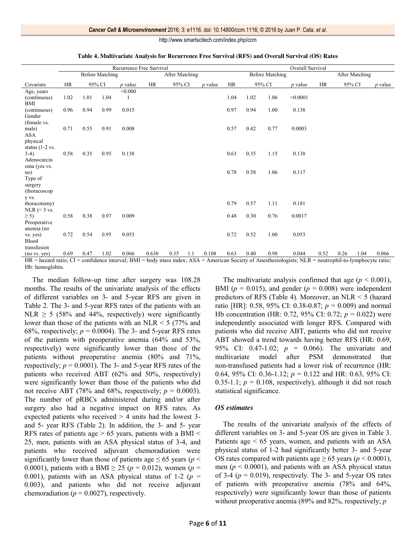|                                                     | Recurrence Free Survival |      |        |                |                |        |     |                |                        | Overall Survival |        |                       |           |      |        |                |
|-----------------------------------------------------|--------------------------|------|--------|----------------|----------------|--------|-----|----------------|------------------------|------------------|--------|-----------------------|-----------|------|--------|----------------|
|                                                     | <b>Before Matching</b>   |      |        |                | After Matching |        |     |                | <b>Before Matching</b> |                  |        | <b>After Matching</b> |           |      |        |                |
| Covariate                                           | <b>HR</b>                |      | 95% CI | <i>p</i> value | <b>HR</b>      | 95% CI |     | <i>p</i> value | <b>HR</b>              |                  | 95% CI | <i>p</i> value        | <b>HR</b> |      | 95% CI | <i>p</i> value |
| Age, years                                          |                          |      |        | < 0.000        |                |        |     |                |                        |                  |        |                       |           |      |        |                |
| (continuous)<br><b>BMI</b>                          | 1.02                     | 1.01 | 1.04   |                |                |        |     |                | 1.04                   | 1.02             | 1.06   | < 0.0001              |           |      |        |                |
| (continuous)<br>Gender                              | 0.96                     | 0.94 | 0.99   | 0.015          |                |        |     |                | 0.97                   | 0.94             | 1.00   | 0.138                 |           |      |        |                |
| (female vs.<br>male)<br><b>ASA</b><br>physical      | 0.71                     | 0.55 | 0.91   | 0.008          |                |        |     |                | 0.57                   | 0.42             | 0.77   | 0.0003                |           |      |        |                |
| status $(1-2 \text{ vs.})$<br>$3-4)$<br>Adenocarcin | 0.58                     | 0.35 | 0.95   | 0.138          |                |        |     |                | 0.63                   | 0.35             | 1.15   | 0.138                 |           |      |        |                |
| oma (yes vs.<br>no)<br>Type of                      |                          |      |        |                |                |        |     |                | 0.78                   | 0.58             | 1.06   | 0.117                 |           |      |        |                |
| surgery<br>(thoracoscop                             |                          |      |        |                |                |        |     |                |                        |                  |        |                       |           |      |        |                |
| y vs.<br>thoracotomy)<br>NLR $(< 5$ vs.             |                          |      |        |                |                |        |     |                | 0.79                   | 0.57             | 1.11   | 0.181                 |           |      |        |                |
| $\geq$ 5)<br>Preoperative                           | 0.58                     | 0.38 | 0.97   | 0.009          |                |        |     |                | 0.48                   | 0.30             | 0.76   | 0.0017                |           |      |        |                |
| anemia (no<br>vs. yes)<br>Blood<br>transfusion      | 0.72                     | 0.54 | 0.95   | 0.053          |                |        |     |                | 0.72                   | 0.52             | 1.00   | 0.053                 |           |      |        |                |
| (no vs. yes)                                        | 0.69                     | 0.47 | 1.02   | 0.066          | 0.630          | 0.35   | 1.1 | 0.108          | 0.63                   | 0.40             | 0.98   | 0.044                 | 0.52      | 0.26 | 1.04   | 0.066          |

**Table 4. Multivariate Analysis for Recurrence Free Survival (RFS) and Overall Survival (OS) Rates**

HR = hazard ratio; CI = confidence interval; BMI = body mass index; ASA = American Society of Anesthesiologists; NLR = neutrophil-to-lymphocyte ratio; Hb: hemoglobin.

The median follow-up time after surgery was 108.28 months. The results of the univariate analysis of the effects of different variables on 3- and 5-year RFS are given in Table 2. The 3- and 5-year RFS rates of the patients with an NLR  $\geq$  5 (58% and 44%, respectively) were significantly lower than those of the patients with an NLR  $\leq$  5 (77% and 68%, respectively;  $p = 0.0004$ ). The 3- and 5-year RFS rates of the patients with preoperative anemia (64% and 53%, respectively) were significantly lower than those of the patients without preoperative anemia (80% and 71%, respectively;  $p = 0.0001$ ). The 3- and 5-year RFS rates of the patients who received ABT (62% and 50%, respectively) were significantly lower than those of the patients who did not receive ABT (78% and 68%, respectively;  $p = 0.0003$ ). The number of pRBCs administered during and/or after surgery also had a negative impact on RFS rates. As expected patients who received > 4 units had the lowest 3 and 5- year RFS (Table 2). In addition, the 3- and 5- year RFS rates of patients age  $> 65$  years, patients with a BMI  $<$ 25, men, patients with an ASA physical status of 3-4, and patients who received adjuvant chemoradiation were significantly lower than those of patients age  $\leq 65$  years ( $p <$ 0.0001), patients with a BMI  $\geq$  25 ( $p = 0.012$ ), women ( $p =$ 0.001), patients with an ASA physical status of 1-2 ( $p =$ 0.003), and patients who did not receive adjuvant chemoradiation ( $p = 0.0027$ ), respectively.

The multivariate analysis confirmed that age  $(p < 0.001)$ , BMI ( $p = 0.015$ ), and gender ( $p = 0.008$ ) were independent predictors of RFS (Table 4). Moreover, an NLR < 5 (hazard ratio [HR]: 0.58, 95% CI: 0.38-0.87; *p* = 0.009) and normal Hb concentration (HR: 0.72, 95% CI: 0.72; *p* = 0.022) were independently associated with longer RFS. Compared with patients who did receive ABT, patients who did not receive ABT showed a trend towards having better RFS (HR: 0.69, 95% CI: 0.47-1.02; *p* = 0.066). The univariate and multivariate model after PSM demonstrated that non-transfused patients had a lower risk of recurrence (HR: 0.64, 95% CI: 0.36-1.12; *p* = 0.122 and HR: 0.63, 95% CI: 0.35-1.1;  $p = 0.108$ , respectively), although it did not reach statistical significance.

# *OS estimates*

The results of the univariate analysis of the effects of different variables on 3- and 5-year OS are given in Table 3. Patients age < 65 years, women, and patients with an ASA physical status of 1-2 had significantly better 3- and 5-year OS rates compared with patients age  $\geq 65$  years ( $p < 0.0001$ ), men ( $p < 0.0001$ ), and patients with an ASA physical status of 3-4 ( $p = 0.019$ ), respectively. The 3- and 5-year OS rates of patients with preoperative anemia (78% and 64%, respectively) were significantly lower than those of patients without preoperative anemia (89% and 82%, respectively; *p*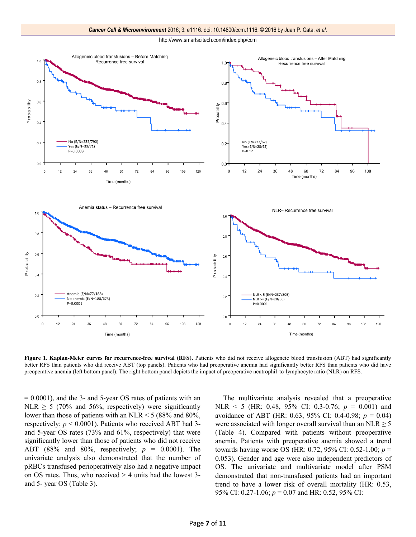

**Figure 1. Kaplan-Meier curves for recurrence-free survival (RFS).** Patients who did not receive allogeneic blood transfusion (ABT) had significantly better RFS than patients who did receive ABT (top panels). Patients who had preoperative anemia had significantly better RFS than patients who did have preoperative anemia (left bottom panel). The right bottom panel depicts the impact of preoperative neutrophil-to-lymphocyte ratio (NLR) on RFS.

= 0.0001), and the 3- and 5-year OS rates of patients with an NLR  $\geq$  5 (70% and 56%, respectively) were significantly lower than those of patients with an NLR  $\leq$  5 (88% and 80%, respectively;  $p < 0.0001$ ). Patients who received ABT had 3and 5-year OS rates (73% and 61%, respectively) that were significantly lower than those of patients who did not receive ABT (88% and 80%, respectively; *p* = 0.0001). The univariate analysis also demonstrated that the number of pRBCs transfused perioperatively also had a negative impact on OS rates. Thus, who received > 4 units had the lowest 3 and 5- year OS (Table 3).

The multivariate analysis revealed that a preoperative NLR < 5 (HR: 0.48, 95% CI: 0.3-0.76; *p* = 0.001) and avoidance of ABT (HR: 0.63, 95% CI: 0.4-0.98; *p* = 0.04) were associated with longer overall survival than an NLR  $\geq$  5 (Table 4). Compared with patients without preoperative anemia, Patients with preoperative anemia showed a trend towards having worse OS (HR: 0.72, 95% CI: 0.52-1.00; *p* = 0.053). Gender and age were also independent predictors of OS. The univariate and multivariate model after PSM demonstrated that non-transfused patients had an important trend to have a lower risk of overall mortality (HR: 0.53, 95% CI: 0.27-1.06; *p* = 0.07 and HR: 0.52, 95% CI: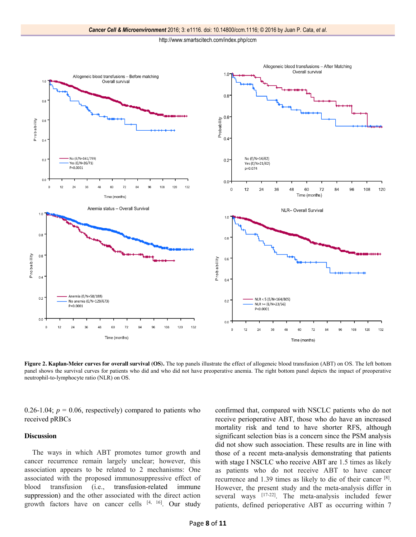

**Figure 2. Kaplan-Meier curves for overall survival (OS).** The top panels illustrate the effect of allogeneic blood transfusion (ABT) on OS. The left bottom panel shows the survival curves for patients who did and who did not have preoperative anemia. The right bottom panel depicts the impact of preoperative neutrophil-to-lymphocyte ratio (NLR) on OS.

0.26-1.04;  $p = 0.06$ , respectively) compared to patients who received pRBCs

# **Discussion**

The ways in which ABT promotes tumor growth and cancer recurrence remain largely unclear; however, this association appears to be related to 2 mechanisms: One associated with the proposed immunosuppressive effect of blood transfusion (i.e., transfusion-related immune suppression) and the other associated with the direct action growth factors have on cancer cells  $[4, 16]$ . Our study confirmed that, compared with NSCLC patients who do not receive perioperative ABT, those who do have an increased mortality risk and tend to have shorter RFS, although significant selection bias is a concern since the PSM analysis did not show such association. These results are in line with those of a recent meta-analysis demonstrating that patients with stage I NSCLC who receive ABT are 1.5 times as likely as patients who do not receive ABT to have cancer recurrence and 1.39 times as likely to die of their cancer [8]. However, the present study and the meta-analysis differ in several ways [17-22]. The meta-analysis included fewer patients, defined perioperative ABT as occurring within 7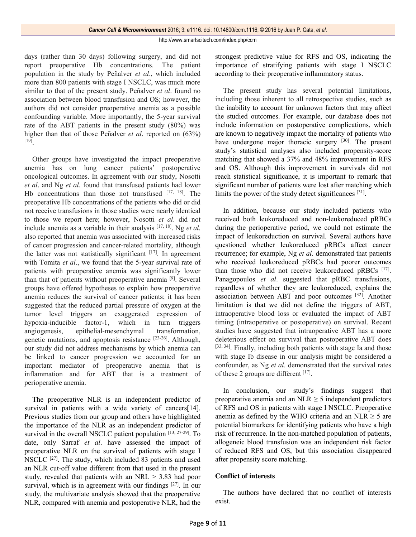days (rather than 30 days) following surgery, and did not report preoperative Hb concentrations. The patient population in the study by Peñalver *et al*., which included more than 800 patients with stage I NSCLC, was much more similar to that of the present study. Peñalver *et al*. found no association between blood transfusion and OS; however, the authors did not consider preoperative anemia as a possible confounding variable. More importantly, the 5-year survival rate of the ABT patients in the present study (80%) was higher than that of those Peñalver *et al*. reported on (63%) [19].

Other groups have investigated the impact preoperative anemia has on lung cancer patients' postoperative oncological outcomes. In agreement with our study, Nosotti *et al*. and Ng *et al*. found that transfused patients had lower Hb concentrations than those not transfused  $[17, 18]$ . The preoperative Hb concentrations of the patients who did or did not receive transfusions in those studies were nearly identical to those we report here; however, Nosotti *et al*. did not include anemia as a variable in their analysis [17, 18]. Ng *et al*. also reported that anemia was associated with increased risks of cancer progression and cancer-related mortality, although the latter was not statistically significant  $[17]$ . In agreement with Tomita *et al*., we found that the 5-year survival rate of patients with preoperative anemia was significantly lower than that of patients without preoperative anemia [9]. Several groups have offered hypotheses to explain how preoperative anemia reduces the survival of cancer patients; it has been suggested that the reduced partial pressure of oxygen at the tumor level triggers an exaggerated expression of hypoxia-inducible factor-1, which in turn triggers angiogenesis, epithelial-mesenchymal transformation, genetic mutations, and apoptosis resistance [23-26]. Although, our study did not address mechanisms by which anemia can be linked to cancer progression we accounted for an important mediator of preoperative anemia that is inflammation and for ABT that is a treatment of perioperative anemia.

The preoperative NLR is an independent predictor of survival in patients with a wide variety of cancers[14]. Previous studies from our group and others have highlighted the importance of the NLR as an independent predictor of survival in the overall NSCLC patient population [13, 27-29]. To date, only Sarraf *et al*. have assessed the impact of preoperative NLR on the survival of patients with stage I NSCLC [27]. The study, which included 83 patients and used an NLR cut-off value different from that used in the present study, revealed that patients with an NRL > 3.83 had poor survival, which is in agreement with our findings  $[27]$ . In our study, the multivariate analysis showed that the preoperative NLR, compared with anemia and postoperative NLR, had the strongest predictive value for RFS and OS, indicating the importance of stratifying patients with stage I NSCLC according to their preoperative inflammatory status.

The present study has several potential limitations, including those inherent to all retrospective studies, such as the inability to account for unknown factors that may affect the studied outcomes. For example, our database does not include information on postoperative complications, which are known to negatively impact the mortality of patients who have undergone major thoracic surgery <sup>[30]</sup>. The present study's statistical analyses also included propensity-score matching that showed a 37% and 48% improvement in RFS and OS. Although this improvement in survivals did not reach statistical significance, it is important to remark that significant number of patients were lost after matching which limits the power of the study detect significances [31].

In addition, because our study included patients who received both leukoreduced and non-leukoreduced pRBCs during the perioperative period, we could not estimate the impact of leukoreduction on survival. Several authors have questioned whether leukoreduced pRBCs affect cancer recurrence; for example, Ng *et al*. demonstrated that patients who received leukoreduced pRBCs had poorer outcomes than those who did not receive leukoreduced pRBCs [17]. Panagopoulos *et al*. suggested that pRBC transfusions, regardless of whether they are leukoreduced, explains the association between ABT and poor outcomes [32]. Another limitation is that we did not define the triggers of ABT, intraoperative blood loss or evaluated the impact of ABT timing (intraoperative or postoperative) on survival. Recent studies have suggested that intraoperative ABT has a more deleterious effect on survival than postoperative ABT does [33, 34]. Finally, including both patients with stage Ia and those with stage Ib disease in our analysis might be considered a confounder, as Ng *et al*. demonstrated that the survival rates of these 2 groups are different [17].

In conclusion, our study's findings suggest that preoperative anemia and an NLR  $\geq$  5 independent predictors of RFS and OS in patients with stage I NSCLC. Preoperative anemia as defined by the WHO criteria and an NLR  $\geq$  5 are potential biomarkers for identifying patients who have a high risk of recurrence. In the non-matched population of patients, allogeneic blood transfusion was an independent risk factor of reduced RFS and OS, but this association disappeared after propensity score matching.

# **Conflict of interests**

The authors have declared that no conflict of interests exist.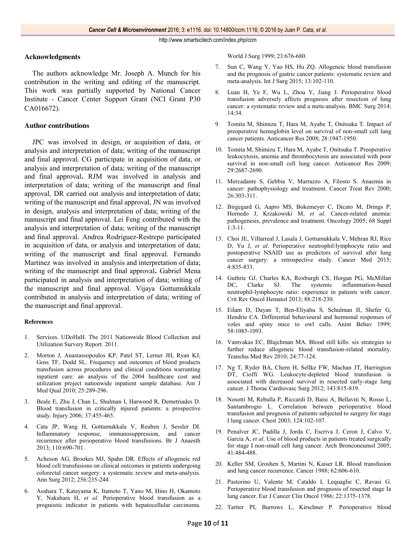# **Acknowledgments**

The authors acknowledge Mr. Joseph A. Munch for his contribution in the writing and editing of the manuscript. This work was partially supported by National Cancer Institute - Cancer Center Support Grant (NCI Grant P30 CA016672).

# **Author contributions**

JPC was involved in design, or acquisition of data, or analysis and interpretation of data; writing of the manuscript and final approval. CG participate in acquisition of data, or analysis and interpretation of data; writing of the manuscript and final approval**.** RJM was involved in analysis and interpretation of data; writing of the manuscript and final approval, DR carried out analysis and interpretation of data; writing of the manuscript and final approval, JN was involved in design, analysis and interpretation of data; writing of the manuscript and final approval. Lei Feng contributed with the analysis and interpretation of data; writing of the manuscript and final approval. Andrea Rodriguez-Restrepo participated in acquisition of data, or analysis and interpretation of data; writing of the manuscript and final approval. Fernando Martinez was involved in analysis and interpretation of data; writing of the manuscript and final approval**.** Gabriel Mena participated in analysis and interpretation of data; writing of the manuscript and final approval. Vijaya Gottumukkala contributed in analysis and interpretation of data; writing of the manuscript and final approval.

#### **References**

- 1. Services. UDoHaH. The 2011 Nationwide Blood Collection and Utilization Survery Report. 2011.
- 2. Morton J, Anastassopoulos KP, Patel ST, Lerner JH, Ryan KJ, Goss TF, Dodd SL. Frequency and outcomes of blood products transfusion across procedures and clinical conditions warranting inpatient care: an analysis of the 2004 healthcare cost and utilization project nationwide inpatient sample database. Am J Med Qual 2010; 25:289-296.
- 3. Beale E, Zhu J, Chan L, Shulman I, Harwood R, Demetriades D. Blood transfusion in critically injured patients: a prospective study. Injury 2006; 37:455-465.
- 4. Cata JP, Wang H, Gottumukkala V, Reuben J, Sessler DI. Inflammatory response, immunosuppression, and cancer recurrence after perioperative blood transfusions. Br J Anaesth 2013; 110:690-701.
- 5. Acheson AG, Brookes MJ, Spahn DR. Effects of allogeneic red blood cell transfusions on clinical outcomes in patients undergoing colorectal cancer surgery: a systematic review and meta-analysis. Ann Surg 2012; 256:235-244.
- 6. Asahara T, Katayama K, Itamoto T, Yano M, Hino H, Okamoto Y, Nakahara H, *et al*. Perioperative blood transfusion as a prognostic indicator in patients with hepatocellular carcinoma.

World J Surg 1999; 23:676-680.

- 7. Sun C, Wang Y, Yao HS, Hu ZQ. Allogeneic blood transfusion and the prognosis of gastric cancer patients: systematic review and meta-analysis. Int J Surg 2015; 13:102-110.
- 8. Luan H, Ye F, Wu L, Zhou Y, Jiang J. Perioperative blood transfusion adversely affects prognosis after resection of lung cancer: a systematic review and a meta-analysis. BMC Surg 2014; 14:34.
- 9. Tomita M, Shimizu T, Hara M, Ayabe T, Onitsuka T. Impact of preoperative hemoglobin level on survival of non-small cell lung cancer patients. Anticancer Res 2008; 28:1947-1950.
- 10. Tomita M, Shimizu T, Hara M, Ayabe T, Onitsuka T. Preoperative leukocytosis, anemia and thrombocytosis are associated with poor survival in non-small cell lung cancer. Anticancer Res 2009; 29:2687-2690.
- 11. Mercadante S, Gebbia V, Marrazzo A, Filosto S. Anaemia in cancer: pathophysiology and treatment. Cancer Treat Rev 2000; 26:303-311.
- 12. Birgegard G, Aapro MS, Bokemeyer C, Dicato M, Drings P, Hornedo J, Krzakowski M, *et al*. Cancer-related anemia: pathogenesis, prevalence and treatment. Oncology 2005; 68 Suppl  $1:3-11$ .
- 13. Choi JE, Villarreal J, Lasala J, Gottumukkala V, Mehran RJ, Rice D, Yu J, *et al*. Perioperative neutrophil:lymphocyte ratio and postoperative NSAID use as predictors of survival after lung cancer surgery: a retrospective study. Cancer Med 2015; 4:835-833.
- 14. Guthrie GJ, Charles KA, Roxburgh CS, Horgan PG, McMillan DC, Clarke SJ. The systemic inflammation-based neutrophil-lymphocyte ratio: experience in patients with cancer. Crit Rev Oncol Hematol 2013; 88:218-230.
- 15. Eilam D, Dayan T, Ben-Eliyahu S, Schulman II, Shefer G, Hendrie CA. Differential behavioural and hormonal responses of voles and spiny mice to owl calls. Anim Behav 1999; 58:1085-1093.
- 16. Vamvakas EC, Blajchman MA. Blood still kills: six strategies to further reduce allogeneic blood transfusion-related mortality. Transfus Med Rev 2010; 24:77-124.
- 17. Ng T, Ryder BA, Chern H, Sellke FW, Machan JT, Harrington DT, Cioffi WG. Leukocyte-depleted blood transfusion is associated with decreased survival in resected early-stage lung cancer. J Thorac Cardiovasc Surg 2012; 143:815-819.
- 18. Nosotti M, Rebulla P, Riccardi D, Baisi A, Bellaviti N, Rosso L, Santambrogio L. Correlation between perioperative blood transfusion and prognosis of patients subjected to surgery for stage I lung cancer. Chest 2003; 124:102-107.
- 19. Penalver JC, Padilla J, Jorda C, Escriva J, Ceron J, Calvo V, Garcia A, *et al*. Use of blood products in patients treated surgically for stage I non-small cell lung cancer. Arch Bronconeumol 2005; 41:484-488.
- 20. Keller SM, Groshen S, Martini N, Kaiser LR. Blood transfusion and lung cancer recurrence. Cancer 1988; 62:606-610.
- 21. Pastorino U, Valente M, Cataldo I, Lequaglie C, Ravasi G. Perioperative blood transfusion and prognosis of resected stage Ia lung cancer. Eur J Cancer Clin Oncol 1986; 22:1375-1378.
- 22. Tartter PI, Burrows L, Kirschner P. Perioperative blood